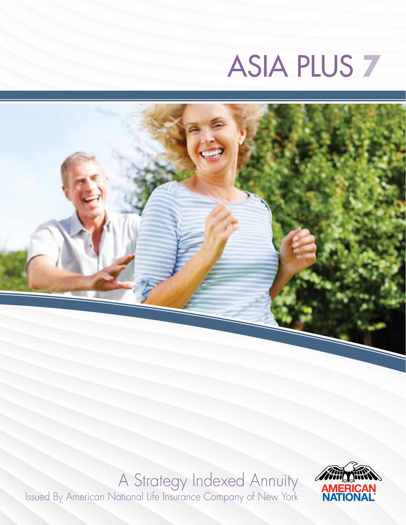# ASIA PLUS **7**



### A Strategy Indexed Annuity

Issued By American National Life Insurance Company of New York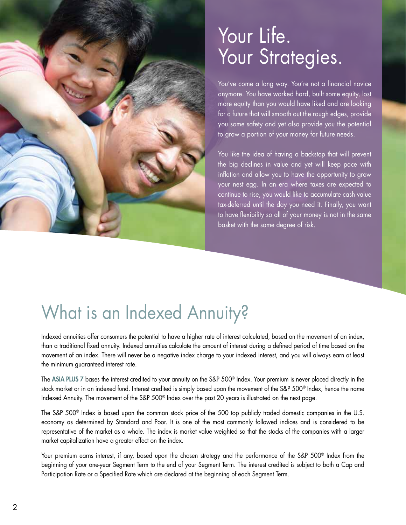

### Your Life. Your Strategies.

You've come a long way. You're not a financial novice anymore. You have worked hard, built some equity, lost more equity than you would have liked and are looking for a future that will smooth out the rough edges, provide you some safety and yet also provide you the potential to grow a portion of your money for future needs.

You like the idea of having a backstop that will prevent the big declines in value and yet will keep pace with inflation and allow you to have the opportunity to grow your nest egg. In an era where taxes are expected to continue to rise, you would like to accumulate cash value tax-deferred until the day you need it. Finally, you want to have flexibility so all of your money is not in the same basket with the same degree of risk.

### What is an Indexed Annuity?

Indexed annuities offer consumers the potential to have a higher rate of interest calculated, based on the movement of an index, than a traditional fixed annuity. Indexed annuities calculate the amount of interest during a defined period of time based on the movement of an index. There will never be a negative index charge to your indexed interest, and you will always earn at least the minimum guaranteed interest rate.

The ASIA PLUS 7 bases the interest credited to your annuity on the S&P 500® Index. Your premium is never placed directly in the stock market or in an indexed fund. Interest credited is simply based upon the movement of the S&P 500® Index, hence the name Indexed Annuity. The movement of the S&P 500® Index over the past 20 years is illustrated on the next page.

The S&P 500® Index is based upon the common stock price of the 500 top publicly traded domestic companies in the U.S. economy as determined by Standard and Poor. It is one of the most commonly followed indices and is considered to be representative of the market as a whole. The index is market value weighted so that the stocks of the companies with a larger market capitalization have a greater effect on the index.

Your premium earns interest, if any, based upon the chosen strategy and the performance of the S&P 500<sup>®</sup> Index from the beginning of your one-year Segment Term to the end of your Segment Term. The interest credited is subject to both a Cap and Participation Rate or a Specified Rate which are declared at the beginning of each Segment Term.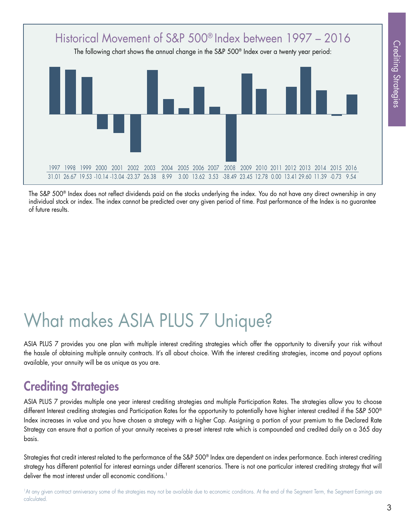

The S&P 500® Index does not reflect dividends paid on the stocks underlying the index. You do not have any direct ownership in any individual stock or index. The index cannot be predicted over any given period of time. Past performance of the Index is no guarantee of future results.

# What makes ASIA PLUS 7 Unique?

ASIA PLUS 7 provides you one plan with multiple interest crediting strategies which offer the opportunity to diversify your risk without the hassle of obtaining multiple annuity contracts. It's all about choice. With the interest crediting strategies, income and payout options available, your annuity will be as unique as you are.

### Crediting Strategies

ASIA PLUS 7 provides multiple one year interest crediting strategies and multiple Participation Rates. The strategies allow you to choose different Interest crediting strategies and Participation Rates for the opportunity to potentially have higher interest credited if the S&P 500<sup>®</sup> Index increases in value and you have chosen a strategy with a higher Cap. Assigning a portion of your premium to the Declared Rate Strategy can ensure that a portion of your annuity receives a pre-set interest rate which is compounded and credited daily on a 365 day basis.

Strategies that credit interest related to the performance of the S&P 500® Index are dependent on index performance. Each interest crediting strategy has different potential for interest earnings under different scenarios. There is not one particular interest crediting strategy that will deliver the most interest under all economic conditions.<sup>1</sup>

<sup>1</sup>At any given contract anniversary some of the strategies may not be available due to economic conditions. At the end of the Segment Term, the Segment Earnings are calculated.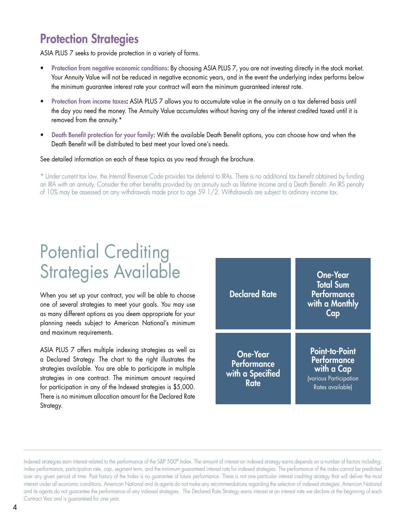#### Protection Strategies

ASIA PLUS 7 seeks to provide protection in a variety of forms.

- Protection from negative economic conditions: By choosing ASIA PLUS 7, you are not investing directly in the stock market. Your Annuity Value will not be reduced in negative economic years, and in the event the underlying index performs below the minimum guarantee interest rate your contract will earn the minimum guaranteed interest rate.
- Protection from income taxes: ASIA PLUS 7 allows you to accumulate value in the annuity on a tax deferred basis until the day you need the money. The Annuity Value accumulates without having any of the interest credited taxed until it is removed from the annuity.\*
- Death Benefit protection for your family: With the available Death Benefit options, you can choose how and when the Death Benefit will be distributed to best meet your loved one's needs.

See detailed information on each of these topics as you read through the brochure.

\* Under current tax law, the Internal Revenue Code provides tax deferral to IRAs. There is no additional tax benefit obtained by funding an IRA with an annuity. Consider the other benefits provided by an annuity such as lifetime income and a Death Benefit. An IRS penalty of 10% may be assessed on any withdrawals made prior to age 59 1/2. Withdrawals are subject to ordinary income tax.

### Potential Crediting Strategies Available

When you set up your contract, you will be able to choose one of several strategies to meet your goals. You may use as many different options as you deem appropriate for your planning needs subject to American National's minimum and maximum requirements.

ASIA PLUS 7 offers multiple indexing strategies as well as a Declared Strategy. The chart to the right illustrates the strategies available. You are able to participate in multiple strategies in one contract. The minimum amount required for participation in any of the Indexed strategies is \$5,000. There is no minimum allocation amount for the Declared Rate Strategy.



Indexed strategies earn interest related to the performance of the S&P 500® Index. The amount of interest an indexed strategy earns depends on a number of factors including: index performance, participation rate, cap, segment term, and the minimum guaranteed interest rate for indexed strategies. The performance of the index cannot be predicted over any given period of time. Past history of the Index is no guarantee of future performance. There is not one particular interest crediting strategy that will deliver the most interest under all economic conditions. American National and its agents do not make any recommendations regarding the selection of indexed strategies. American National and its agents do not guarantee the performance of any indexed strategies. The Declared Rate Strategy earns interest at an interest rate we declare at the beginning of each Contract Year and is guaranteed for one year.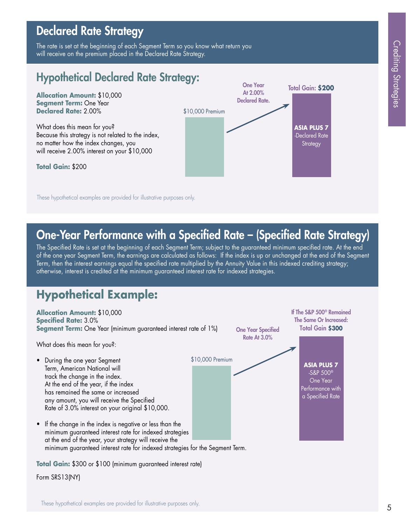#### Declared Rate Strategy

The rate is set at the beginning of each Segment Term so you know what return you will receive on the premium placed in the Declared Rate Strategy.

#### Hypothetical Declared Rate Strategy:

**Allocation Amount:** \$10,000 **Segment Term:** One Year **Declared Rate:** 2.00%

What does this mean for you? Because this strategy is not related to the index, no matter how the index changes, you will receive 2.00% interest on your \$10,000

**Total Gain:** \$200



These hypothetical examples are provided for illustrative purposes only.

#### One-Year Performance with a Specified Rate – (Specified Rate Strategy)

The Specified Rate is set at the beginning of each Segment Term; subject to the guaranteed minimum specified rate. At the end of the one year Segment Term, the earnings are calculated as follows: If the index is up or unchanged at the end of the Segment Term, then the interest earnings equal the specified rate multiplied by the Annuity Value in this indexed crediting strategy; otherwise, interest is credited at the minimum guaranteed interest rate for indexed strategies.

#### **Hypothetical Example:**



**Total Gain:** \$300 or \$100 (minimum guaranteed interest rate)

Form SRS13(NY)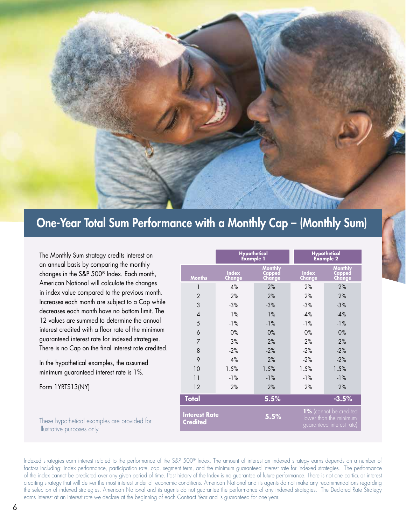

#### One-Year Total Sum Performance with a Monthly Cap – (Monthly Sum)

The Monthly Sum strategy credits interest on an annual basis by comparing the monthly changes in the S&P 500® Index. Each month, American National will calculate the changes in index value compared to the previous month. Increases each month are subject to a Cap while decreases each month have no bottom limit. The 12 values are summed to determine the annual interest credited with a floor rate of the minimum guaranteed interest rate for indexed strategies. There is no Cap on the final interest rate credited.

In the hypothetical examples, the assumed minimum guaranteed interest rate is 1%.

Form 1YRTS13(NY)

These hypothetical examples are provided for illustrative purposes only.

|                                         | <b>Hypothetical</b><br><b>Example 1</b> |                                    | <b>Hypothetical</b><br><b>Example 2</b> |                                                                               |  |
|-----------------------------------------|-----------------------------------------|------------------------------------|-----------------------------------------|-------------------------------------------------------------------------------|--|
| <b>Months</b>                           | <b>Index</b><br>Change                  | <b>Monthly</b><br>Capped<br>Change | <b>Index</b><br>Change                  | <b>Monthly</b><br>Capped<br>Change                                            |  |
| 1                                       | 4%                                      | 2%                                 | 2%                                      | 2%                                                                            |  |
| $\overline{2}$                          | 2%                                      | 2%                                 | 2%                                      | 2%                                                                            |  |
| 3                                       | $-3%$                                   | $-3%$                              | $-3%$                                   | $-3%$                                                                         |  |
| $\overline{4}$                          | 1%                                      | $1\%$                              | $-4%$                                   | $-4%$                                                                         |  |
| 5                                       | $-1%$                                   | $-1%$                              | $-1%$                                   | $-1%$                                                                         |  |
| 6                                       | $0\%$                                   | 0%                                 | $0\%$                                   | $0\%$                                                                         |  |
| $\overline{7}$                          | 3%                                      | 2%                                 | 2%                                      | 2%                                                                            |  |
| 8                                       | $-2%$                                   | $-2%$                              | $-2%$                                   | $-2%$                                                                         |  |
| 9                                       | 4%                                      | 2%                                 | $-2%$                                   | $-2%$                                                                         |  |
| 10                                      | 1.5%                                    | 1.5%                               | 1.5%                                    | 1.5%                                                                          |  |
| 11                                      | $-1%$                                   | $-1%$                              | $-1%$                                   | $-1%$                                                                         |  |
| 12                                      | 2%                                      | 2%                                 | 2%                                      | 2%                                                                            |  |
| <b>Total</b>                            |                                         | 5.5%                               |                                         | $-3.5%$                                                                       |  |
| <b>Interest Rate</b><br><b>Credited</b> |                                         | 5.5%                               |                                         | 1% (cannot be credited<br>lower than the minimum<br>guaranteed interest rate) |  |

Indexed strategies earn interest related to the performance of the S&P 500® Index. The amount of interest an indexed strategy earns depends on a number of factors including: index performance, participation rate, cap, segment term, and the minimum guaranteed interest rate for indexed strategies. The performance of the index cannot be predicted over any given period of time. Past history of the Index is no guarantee of future performance. There is not one particular interest crediting strategy that will deliver the most interest under all economic conditions. American National and its agents do not make any recommendations regarding the selection of indexed strategies. American National and its agents do not guarantee the performance of any indexed strategies. The Declared Rate Strategy earns interest at an interest rate we declare at the beginning of each Contract Year and is guaranteed for one year.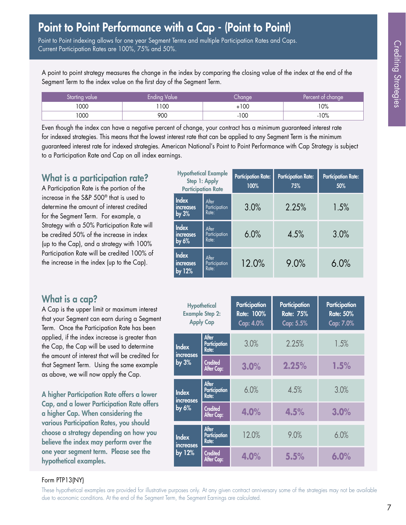Point to Point indexing allows for one year Segment Terms and multiple Participation Rates and Caps. Current Participation Rates are 100%, 75% and 50%.

A point to point strategy measures the change in the index by comparing the closing value of the index at the end of the Segment Term to the index value on the first day of the Segment Term.

| Starting value | Ending Value | hanae. | Percent of change |
|----------------|--------------|--------|-------------------|
| 1000           | 100          | +100   | $10\%$            |
| 1000           | 900          | $-100$ | $-10%$            |

Even though the index can have a negative percent of change, your contract has a minimum guaranteed interest rate for indexed strategies. This means that the lowest interest rate that can be applied to any Segment Term is the minimum guaranteed interest rate for indexed strategies. American National's Point to Point Performance with Cap Strategy is subject to a Participation Rate and Cap on all index earnings.

#### What is a participation rate?

A Participation Rate is the portion of the increase in the S&P 500® that is used to determine the amount of interest credited for the Segment Term. For example, a Strategy with a 50% Participation Rate will be credited 50% of the increase in index (up to the Cap), and a strategy with 100% Participation Rate will be credited 100% of the increase in the index (up to the Cap).

| What is a cap? |  |  |
|----------------|--|--|

A Cap is the upper limit or maximum interest that your Segment can earn during a Segment Term. Once the Participation Rate has been applied, if the index increase is greater than the Cap, the Cap will be used to determine the amount of interest that will be credited for that Segment Term. Using the same example as above, we will now apply the Cap.

A higher Participation Rate offers a lower Cap, and a lower Participation Rate offers a higher Cap. When considering the various Participation Rates, you should choose a strategy depending on how you believe the index may perform over the one year segment term. Please see the hypothetical examples.

| <b>Hypothetical Example</b><br>Step 1: Apply<br><b>Participation Rate</b> |                                             |                                 | <b>Participation Rate:</b><br>100% | <b>Participation Rate:</b><br>75% | <b>Participation Rate:</b><br>50% |  |
|---------------------------------------------------------------------------|---------------------------------------------|---------------------------------|------------------------------------|-----------------------------------|-----------------------------------|--|
|                                                                           | <b>Index</b><br><i>increases</i><br>by $3%$ | After<br>Participation<br>Rate: | 3.0%                               | 2.25%                             | 1.5%                              |  |
|                                                                           | <b>Index</b><br>increases<br>by 6%          | After<br>Participation<br>Rate: | 6.0%                               | 4.5%                              | 3.0%                              |  |
|                                                                           | <b>Index</b><br>increases<br>by $12\%$      | After<br>Participation<br>Rate: | 12.0%                              | 9.0%                              | 6.0%                              |  |

| <b>Hypothetical</b><br><b>Example Step 2:</b><br><b>Apply Cap</b> |                                               | Participation<br>Rate: 100%<br>Cap: 4.0% | Participation<br><b>Rate: 75%</b><br>Cap: 5.5% | Participation<br><b>Rate: 50%</b><br>Cap: 7.0% |  |
|-------------------------------------------------------------------|-----------------------------------------------|------------------------------------------|------------------------------------------------|------------------------------------------------|--|
| <b>Index</b><br><i>increases</i>                                  | After<br>Participation<br>Rate:               | 3.0%                                     | 2.25%                                          | 1.5%                                           |  |
| by $3%$                                                           | <b>Credited</b><br>After Cap:                 | 3.0%                                     | 2.25%                                          | 1.5%                                           |  |
| <b>Index</b><br><i>increases</i><br>by $6\%$                      | <b>After</b><br>Participation<br>Rate:        | 6.0%                                     | 4.5%                                           | 3.0%                                           |  |
|                                                                   | <b>Credited</b><br>After Cap:                 | 4.0%                                     | 4.5%                                           | 3.0%                                           |  |
| <b>Index</b><br><i>increases</i><br>by 12%                        | <b>After</b><br><b>Participation</b><br>Rate: | 12.0%                                    | 9.0%                                           | 6.0%                                           |  |
|                                                                   | <b>Credited</b><br>After Cap:                 | 4.0%                                     | 5.5%                                           | 6.0%                                           |  |

#### Form PTP13(NY)

These hypothetical examples are provided for illustrative purposes only. At any given contract anniversary some of the strategies may not be available due to economic conditions. At the end of the Segment Term, the Segment Earnings are calculated.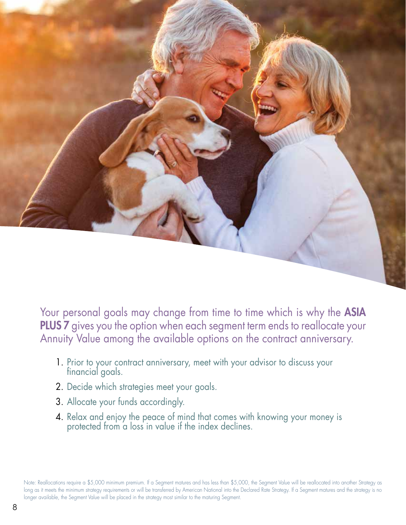

Your personal goals may change from time to time which is why the ASIA PLUS 7 gives you the option when each segment term ends to reallocate your Annuity Value among the available options on the contract anniversary.

- 1. Prior to your contract anniversary, meet with your advisor to discuss your financial goals.
- 2. Decide which strategies meet your goals.
- 3. Allocate your funds accordingly.
- 4. Relax and enjoy the peace of mind that comes with knowing your money is protected from a loss in value if the index declines.

Note: Reallocations require a \$5,000 minimum premium. If a Segment matures and has less than \$5,000, the Segment Value will be reallocated into another Strategy as long as it meets the minimum strategy requirements or will be transferred by American National into the Declared Rate Strategy. If a Segment matures and the strategy is no longer available, the Segment Value will be placed in the strategy most similar to the maturing Segment.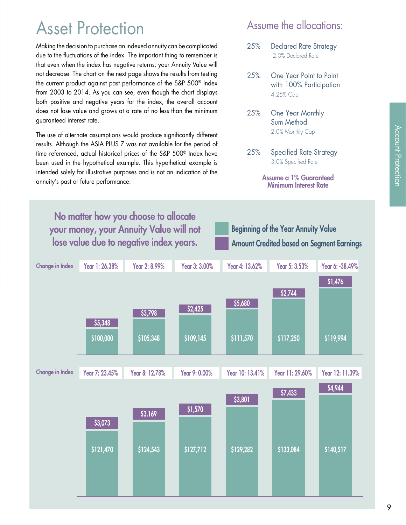### Asset Protection

Making the decision to purchase an indexed annuity can be complicated due to the fluctuations of the index. The important thing to remember is that even when the index has negative returns, your Annuity Value will not decrease. The chart on the next page shows the results from testing the current product against past performance of the S&P 500® Index from 2003 to 2014. As you can see, even though the chart displays both positive and negative years for the index, the overall account does not lose value and grows at a rate of no less than the minimum guaranteed interest rate.

The use of alternate assumptions would produce significantly different results. Although the ASIA PLUS 7 was not available for the period of time referenced, actual historical prices of the S&P 500® Index have been used in the hypothetical example. This hypothetical example is intended solely for illustrative purposes and is not an indication of the annuity's past or future performance.

#### Assume the allocations:

- 25% Declared Rate Strategy 2.0% Declared Rate
- 25% One Year Point to Point with 100% Participation 4.25% Cap
- 25% One Year Monthly Sum Method 2.0% Monthly Cap
- 25% Specified Rate Strategy 3.0% Specified Rate

Assume a 1% Guaranteed Minimum Interest Rate

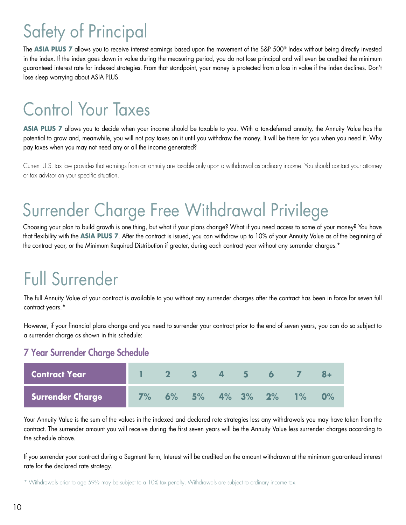# Safety of Principal

The **ASIA PLUS 7** allows you to receive interest earnings based upon the movement of the S&P 500® Index without being directly invested in the index. If the index goes down in value during the measuring period, you do not lose principal and will even be credited the minimum guaranteed interest rate for indexed strategies. From that standpoint, your money is protected from a loss in value if the index declines. Don't lose sleep worrying about ASIA PLUS.

### Control Your Taxes

**ASIA PLUS 7** allows you to decide when your income should be taxable to you. With a tax-deferred annuity, the Annuity Value has the potential to grow and, meanwhile, you will not pay taxes on it until you withdraw the money. It will be there for you when you need it. Why pay taxes when you may not need any or all the income generated?

Current U.S. tax law provides that earnings from an annuity are taxable only upon a withdrawal as ordinary income. You should contact your attorney or tax advisor on your specific situation.

### Surrender Charge Free Withdrawal Privilege

Choosing your plan to build growth is one thing, but what if your plans change? What if you need access to some of your money? You have that flexibility with the **ASIA PLUS 7**. After the contract is issued, you can withdraw up to 10% of your Annuity Value as of the beginning of the contract year, or the Minimum Required Distribution if greater, during each contract year without any surrender charges.\*

### Full Surrender

The full Annuity Value of your contract is available to you without any surrender charges after the contract has been in force for seven full contract years.\*

However, if your financial plans change and you need to surrender your contract prior to the end of seven years, you can do so subject to a surrender charge as shown in this schedule:

#### 7 Year Surrender Charge Schedule

| <b>Contract Year</b> |    | $\overline{\mathbf{2}}$ | - 3-           | 457 | $\overline{6}$ | $\mathbf{Z}$ |  |
|----------------------|----|-------------------------|----------------|-----|----------------|--------------|--|
| Surrender Charge     | 7% |                         | 6% 5% 4% 3% 2% |     |                | $1\%$        |  |

Your Annuity Value is the sum of the values in the indexed and declared rate strategies less any withdrawals you may have taken from the contract. The surrender amount you will receive during the first seven years will be the Annuity Value less surrender charges according to the schedule above.

If you surrender your contract during a Segment Term, Interest will be credited on the amount withdrawn at the minimum guaranteed interest rate for the declared rate strategy.

\* Withdrawals prior to age 59½ may be subject to a 10% tax penalty. Withdrawals are subject to ordinary income tax.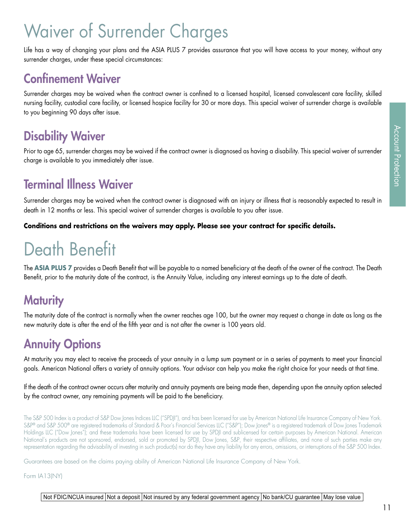## Waiver of Surrender Charges

Life has a way of changing your plans and the ASIA PLUS 7 provides assurance that you will have access to your money, without any surrender charges, under these special circumstances:

#### Confinement Waiver

Surrender charges may be waived when the contract owner is confined to a licensed hospital, licensed convalescent care facility, skilled nursing facility, custodial care facility, or licensed hospice facility for 30 or more days. This special waiver of surrender charge is available to you beginning 90 days after issue.

### Disability Waiver

Prior to age 65, surrender charges may be waived if the contract owner is diagnosed as having a disability. This special waiver of surrender charge is available to you immediately after issue.

### Terminal Illness Waiver

Surrender charges may be waived when the contract owner is diagnosed with an injury or illness that is reasonably expected to result in death in 12 months or less. This special waiver of surrender charges is available to you after issue.

**Conditions and restrictions on the waivers may apply. Please see your contract for specific details.**

# Death Benefit

The **ASIA PLUS 7** provides a Death Benefit that will be payable to a named beneficiary at the death of the owner of the contract. The Death Benefit, prior to the maturity date of the contract, is the Annuity Value, including any interest earnings up to the date of death.

### **Maturity**

The maturity date of the contract is normally when the owner reaches age 100, but the owner may request a change in date as long as the new maturity date is after the end of the fifth year and is not after the owner is 100 years old.

#### **Annuity Options**

At maturity you may elect to receive the proceeds of your annuity in a lump sum payment or in a series of payments to meet your financial goals. American National offers a variety of annuity options. Your advisor can help you make the right choice for your needs at that time.

If the death of the contract owner occurs after maturity and annuity payments are being made then, depending upon the annuity option selected by the contract owner, any remaining payments will be paid to the beneficiary.

The S&P 500 Index is a product of S&P Dow Jones Indices LLC ("SPDJI"), and has been licensed for use by American National Life Insurance Company of New York. S&P® and S&P 500® are registered trademarks of Standard & Poor's Financial Services LLC ("S&P"); Dow Jones® is a registered trademark of Dow Jones Trademark Holdings LLC ("Dow Jones"); and these trademarks have been licensed for use by SPDJI and sublicensed for certain purposes by American National. American National's products are not sponsored, endorsed, sold or promoted by SPDJI, Dow Jones, S&P, their respective affiliates, and none of such parties make any representation regarding the advisability of investing in such product(s) nor do they have any liability for any errors, omissions, or interruptions of the S&P 500 Index.

Guarantees are based on the claims paying ability of American National Life Insurance Company of New York.

Form IA13(NY)

#### Not FDIC/NCUA insured Not a deposit Not insured by any federal government agency No bank/CU guarantee May lose value